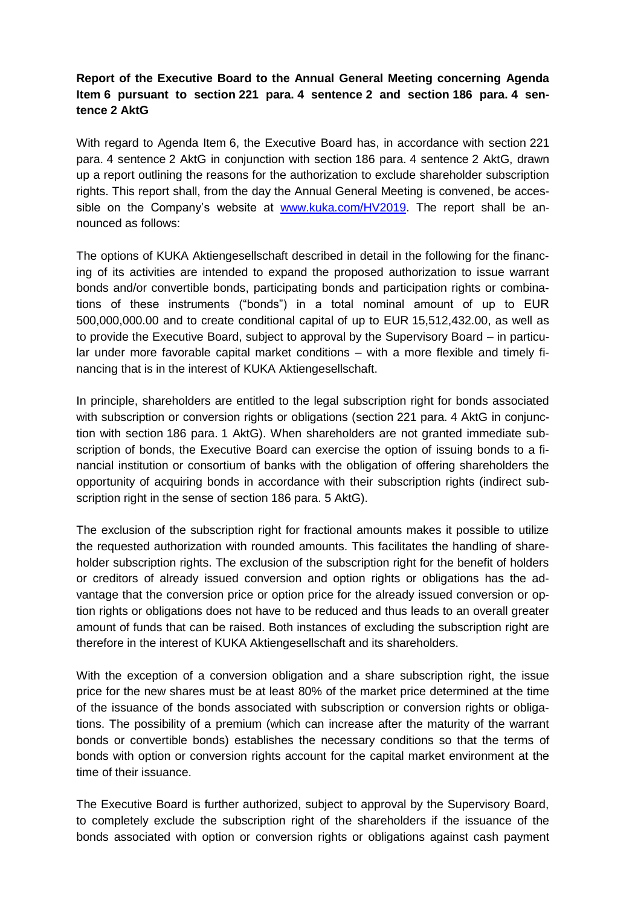## **Report of the Executive Board to the Annual General Meeting concerning Agenda Item 6 pursuant to section 221 para. 4 sentence 2 and section 186 para. 4 sentence 2 AktG**

With regard to Agenda Item 6, the Executive Board has, in accordance with section 221 para. 4 sentence 2 AktG in conjunction with section 186 para. 4 sentence 2 AktG, drawn up a report outlining the reasons for the authorization to exclude shareholder subscription rights. This report shall, from the day the Annual General Meeting is convened, be accessible on the Company's website at [www.kuka.com/HV2019.](http://www.kuka.com/HV2019) The report shall be announced as follows:

The options of KUKA Aktiengesellschaft described in detail in the following for the financing of its activities are intended to expand the proposed authorization to issue warrant bonds and/or convertible bonds, participating bonds and participation rights or combinations of these instruments ("bonds") in a total nominal amount of up to EUR 500,000,000.00 and to create conditional capital of up to EUR 15,512,432.00, as well as to provide the Executive Board, subject to approval by the Supervisory Board – in particular under more favorable capital market conditions – with a more flexible and timely financing that is in the interest of KUKA Aktiengesellschaft.

In principle, shareholders are entitled to the legal subscription right for bonds associated with subscription or conversion rights or obligations (section 221 para. 4 AktG in conjunction with section 186 para. 1 AktG). When shareholders are not granted immediate subscription of bonds, the Executive Board can exercise the option of issuing bonds to a financial institution or consortium of banks with the obligation of offering shareholders the opportunity of acquiring bonds in accordance with their subscription rights (indirect subscription right in the sense of section 186 para. 5 AktG).

The exclusion of the subscription right for fractional amounts makes it possible to utilize the requested authorization with rounded amounts. This facilitates the handling of shareholder subscription rights. The exclusion of the subscription right for the benefit of holders or creditors of already issued conversion and option rights or obligations has the advantage that the conversion price or option price for the already issued conversion or option rights or obligations does not have to be reduced and thus leads to an overall greater amount of funds that can be raised. Both instances of excluding the subscription right are therefore in the interest of KUKA Aktiengesellschaft and its shareholders.

With the exception of a conversion obligation and a share subscription right, the issue price for the new shares must be at least 80% of the market price determined at the time of the issuance of the bonds associated with subscription or conversion rights or obligations. The possibility of a premium (which can increase after the maturity of the warrant bonds or convertible bonds) establishes the necessary conditions so that the terms of bonds with option or conversion rights account for the capital market environment at the time of their issuance.

The Executive Board is further authorized, subject to approval by the Supervisory Board, to completely exclude the subscription right of the shareholders if the issuance of the bonds associated with option or conversion rights or obligations against cash payment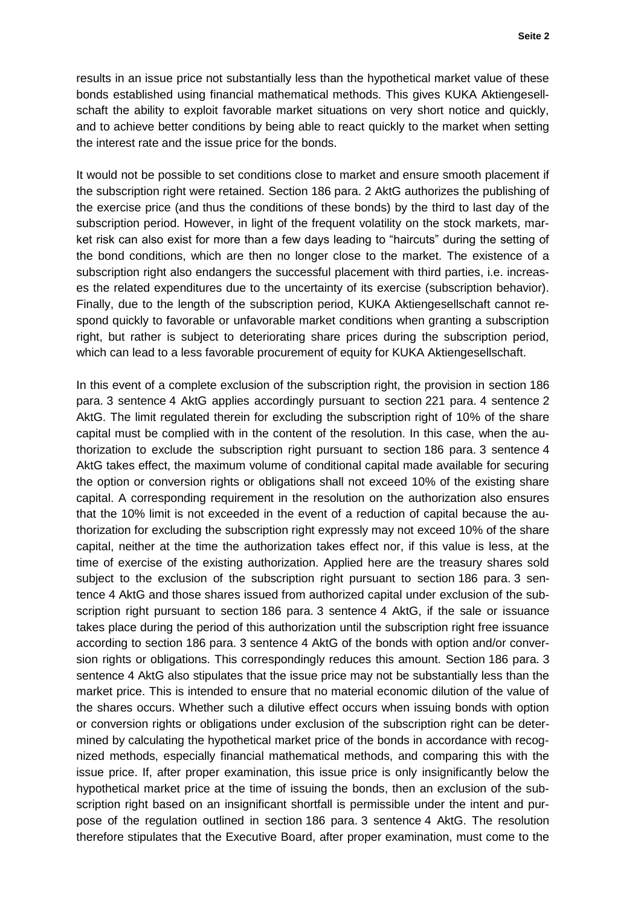results in an issue price not substantially less than the hypothetical market value of these bonds established using financial mathematical methods. This gives KUKA Aktiengesellschaft the ability to exploit favorable market situations on very short notice and quickly, and to achieve better conditions by being able to react quickly to the market when setting the interest rate and the issue price for the bonds.

It would not be possible to set conditions close to market and ensure smooth placement if the subscription right were retained. Section 186 para. 2 AktG authorizes the publishing of the exercise price (and thus the conditions of these bonds) by the third to last day of the subscription period. However, in light of the frequent volatility on the stock markets, market risk can also exist for more than a few days leading to "haircuts" during the setting of the bond conditions, which are then no longer close to the market. The existence of a subscription right also endangers the successful placement with third parties, i.e. increases the related expenditures due to the uncertainty of its exercise (subscription behavior). Finally, due to the length of the subscription period, KUKA Aktiengesellschaft cannot respond quickly to favorable or unfavorable market conditions when granting a subscription right, but rather is subject to deteriorating share prices during the subscription period, which can lead to a less favorable procurement of equity for KUKA Aktiengesellschaft.

In this event of a complete exclusion of the subscription right, the provision in section 186 para. 3 sentence 4 AktG applies accordingly pursuant to section 221 para. 4 sentence 2 AktG. The limit regulated therein for excluding the subscription right of 10% of the share capital must be complied with in the content of the resolution. In this case, when the authorization to exclude the subscription right pursuant to section 186 para. 3 sentence 4 AktG takes effect, the maximum volume of conditional capital made available for securing the option or conversion rights or obligations shall not exceed 10% of the existing share capital. A corresponding requirement in the resolution on the authorization also ensures that the 10% limit is not exceeded in the event of a reduction of capital because the authorization for excluding the subscription right expressly may not exceed 10% of the share capital, neither at the time the authorization takes effect nor, if this value is less, at the time of exercise of the existing authorization. Applied here are the treasury shares sold subject to the exclusion of the subscription right pursuant to section 186 para. 3 sentence 4 AktG and those shares issued from authorized capital under exclusion of the subscription right pursuant to section 186 para. 3 sentence 4 AktG, if the sale or issuance takes place during the period of this authorization until the subscription right free issuance according to section 186 para. 3 sentence 4 AktG of the bonds with option and/or conversion rights or obligations. This correspondingly reduces this amount. Section 186 para. 3 sentence 4 AktG also stipulates that the issue price may not be substantially less than the market price. This is intended to ensure that no material economic dilution of the value of the shares occurs. Whether such a dilutive effect occurs when issuing bonds with option or conversion rights or obligations under exclusion of the subscription right can be determined by calculating the hypothetical market price of the bonds in accordance with recognized methods, especially financial mathematical methods, and comparing this with the issue price. If, after proper examination, this issue price is only insignificantly below the hypothetical market price at the time of issuing the bonds, then an exclusion of the subscription right based on an insignificant shortfall is permissible under the intent and purpose of the regulation outlined in section 186 para. 3 sentence 4 AktG. The resolution therefore stipulates that the Executive Board, after proper examination, must come to the